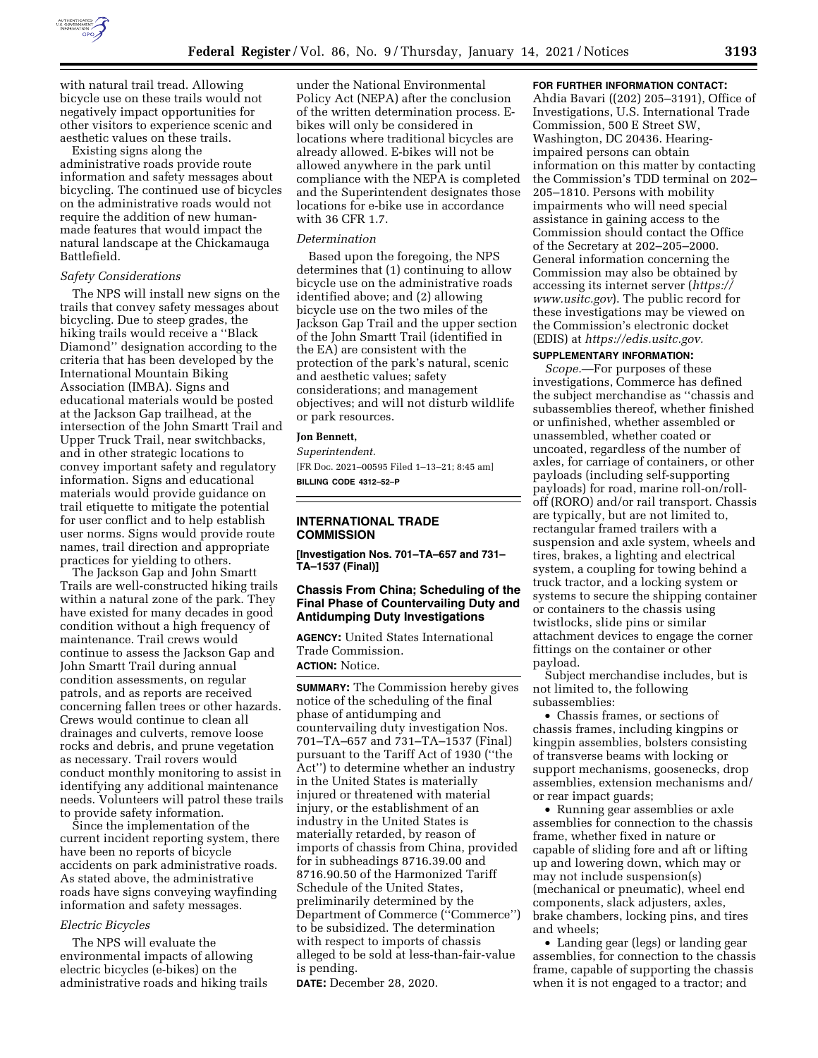

with natural trail tread. Allowing bicycle use on these trails would not negatively impact opportunities for other visitors to experience scenic and aesthetic values on these trails.

Existing signs along the administrative roads provide route information and safety messages about bicycling. The continued use of bicycles on the administrative roads would not require the addition of new humanmade features that would impact the natural landscape at the Chickamauga Battlefield.

# *Safety Considerations*

The NPS will install new signs on the trails that convey safety messages about bicycling. Due to steep grades, the hiking trails would receive a ''Black Diamond'' designation according to the criteria that has been developed by the International Mountain Biking Association (IMBA). Signs and educational materials would be posted at the Jackson Gap trailhead, at the intersection of the John Smartt Trail and Upper Truck Trail, near switchbacks, and in other strategic locations to convey important safety and regulatory information. Signs and educational materials would provide guidance on trail etiquette to mitigate the potential for user conflict and to help establish user norms. Signs would provide route names, trail direction and appropriate practices for yielding to others.

The Jackson Gap and John Smartt Trails are well-constructed hiking trails within a natural zone of the park. They have existed for many decades in good condition without a high frequency of maintenance. Trail crews would continue to assess the Jackson Gap and John Smartt Trail during annual condition assessments, on regular patrols, and as reports are received concerning fallen trees or other hazards. Crews would continue to clean all drainages and culverts, remove loose rocks and debris, and prune vegetation as necessary. Trail rovers would conduct monthly monitoring to assist in identifying any additional maintenance needs. Volunteers will patrol these trails to provide safety information.

Since the implementation of the current incident reporting system, there have been no reports of bicycle accidents on park administrative roads. As stated above, the administrative roads have signs conveying wayfinding information and safety messages.

#### *Electric Bicycles*

The NPS will evaluate the environmental impacts of allowing electric bicycles (e-bikes) on the administrative roads and hiking trails

under the National Environmental Policy Act (NEPA) after the conclusion of the written determination process. Ebikes will only be considered in locations where traditional bicycles are already allowed. E-bikes will not be allowed anywhere in the park until compliance with the NEPA is completed and the Superintendent designates those locations for e-bike use in accordance with 36 CFR 1.7.

#### *Determination*

Based upon the foregoing, the NPS determines that (1) continuing to allow bicycle use on the administrative roads identified above; and (2) allowing bicycle use on the two miles of the Jackson Gap Trail and the upper section of the John Smartt Trail (identified in the EA) are consistent with the protection of the park's natural, scenic and aesthetic values; safety considerations; and management objectives; and will not disturb wildlife or park resources.

#### **Jon Bennett,**

*Superintendent.*  [FR Doc. 2021–00595 Filed 1–13–21; 8:45 am] **BILLING CODE 4312–52–P** 

## **INTERNATIONAL TRADE COMMISSION**

**[Investigation Nos. 701–TA–657 and 731– TA–1537 (Final)]** 

## **Chassis From China; Scheduling of the Final Phase of Countervailing Duty and Antidumping Duty Investigations**

**AGENCY:** United States International Trade Commission. **ACTION:** Notice.

**SUMMARY:** The Commission hereby gives notice of the scheduling of the final phase of antidumping and countervailing duty investigation Nos. 701–TA–657 and 731–TA–1537 (Final) pursuant to the Tariff Act of 1930 (''the Act'') to determine whether an industry in the United States is materially injured or threatened with material injury, or the establishment of an industry in the United States is materially retarded, by reason of imports of chassis from China, provided for in subheadings 8716.39.00 and 8716.90.50 of the Harmonized Tariff Schedule of the United States, preliminarily determined by the Department of Commerce (''Commerce'') to be subsidized. The determination with respect to imports of chassis alleged to be sold at less-than-fair-value is pending.

**DATE:** December 28, 2020.

#### **FOR FURTHER INFORMATION CONTACT:**

Ahdia Bavari ((202) 205–3191), Office of Investigations, U.S. International Trade Commission, 500 E Street SW, Washington, DC 20436. Hearingimpaired persons can obtain information on this matter by contacting the Commission's TDD terminal on 202– 205–1810. Persons with mobility impairments who will need special assistance in gaining access to the Commission should contact the Office of the Secretary at 202–205–2000. General information concerning the Commission may also be obtained by accessing its internet server (*[https://](https://www.usitc.gov) [www.usitc.gov](https://www.usitc.gov)*). The public record for these investigations may be viewed on the Commission's electronic docket (EDIS) at *[https://edis.usitc.gov.](https://edis.usitc.gov)* 

# **SUPPLEMENTARY INFORMATION:**

*Scope.*—For purposes of these investigations, Commerce has defined the subject merchandise as ''chassis and subassemblies thereof, whether finished or unfinished, whether assembled or unassembled, whether coated or uncoated, regardless of the number of axles, for carriage of containers, or other payloads (including self-supporting payloads) for road, marine roll-on/rolloff (RORO) and/or rail transport. Chassis are typically, but are not limited to, rectangular framed trailers with a suspension and axle system, wheels and tires, brakes, a lighting and electrical system, a coupling for towing behind a truck tractor, and a locking system or systems to secure the shipping container or containers to the chassis using twistlocks, slide pins or similar attachment devices to engage the corner fittings on the container or other payload.

Subject merchandise includes, but is not limited to, the following subassemblies:

• Chassis frames, or sections of chassis frames, including kingpins or kingpin assemblies, bolsters consisting of transverse beams with locking or support mechanisms, goosenecks, drop assemblies, extension mechanisms and/ or rear impact guards;

• Running gear assemblies or axle assemblies for connection to the chassis frame, whether fixed in nature or capable of sliding fore and aft or lifting up and lowering down, which may or may not include suspension(s) (mechanical or pneumatic), wheel end components, slack adjusters, axles, brake chambers, locking pins, and tires and wheels;

• Landing gear (legs) or landing gear assemblies, for connection to the chassis frame, capable of supporting the chassis when it is not engaged to a tractor; and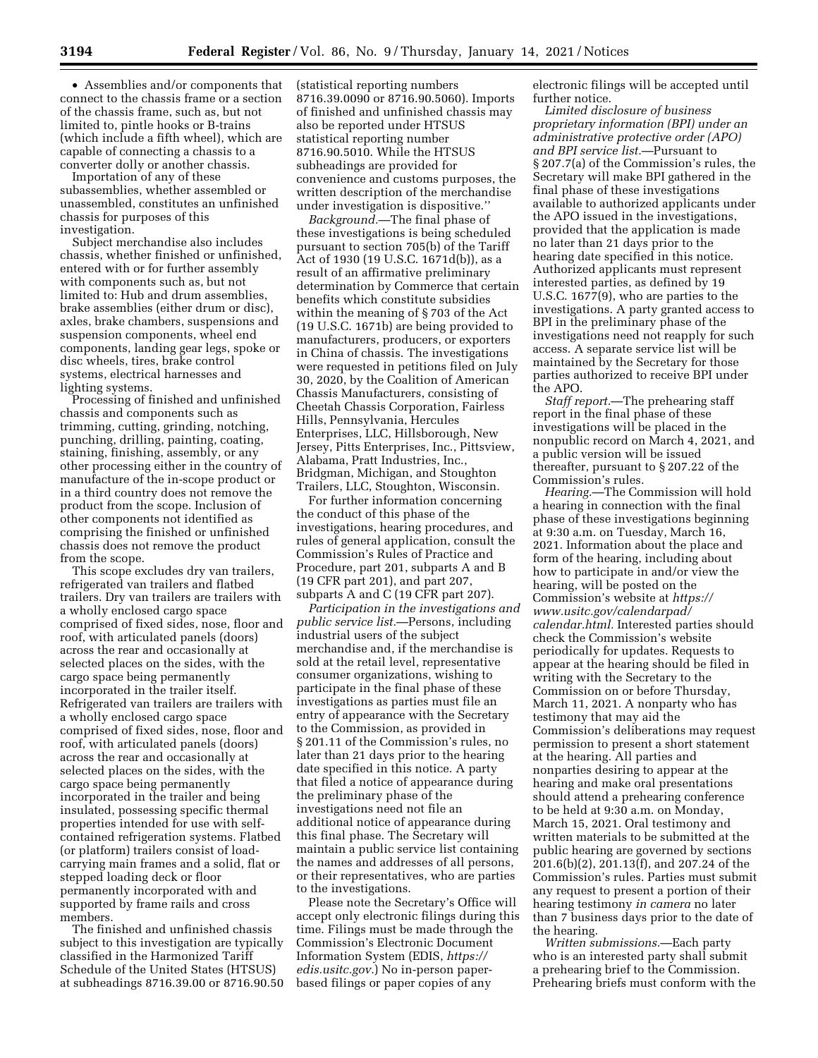• Assemblies and/or components that connect to the chassis frame or a section of the chassis frame, such as, but not limited to, pintle hooks or B-trains (which include a fifth wheel), which are capable of connecting a chassis to a converter dolly or another chassis.

Importation of any of these subassemblies, whether assembled or unassembled, constitutes an unfinished chassis for purposes of this investigation.

Subject merchandise also includes chassis, whether finished or unfinished, entered with or for further assembly with components such as, but not limited to: Hub and drum assemblies, brake assemblies (either drum or disc), axles, brake chambers, suspensions and suspension components, wheel end components, landing gear legs, spoke or disc wheels, tires, brake control systems, electrical harnesses and lighting systems.

Processing of finished and unfinished chassis and components such as trimming, cutting, grinding, notching, punching, drilling, painting, coating, staining, finishing, assembly, or any other processing either in the country of manufacture of the in-scope product or in a third country does not remove the product from the scope. Inclusion of other components not identified as comprising the finished or unfinished chassis does not remove the product from the scope.

This scope excludes dry van trailers, refrigerated van trailers and flatbed trailers. Dry van trailers are trailers with a wholly enclosed cargo space comprised of fixed sides, nose, floor and roof, with articulated panels (doors) across the rear and occasionally at selected places on the sides, with the cargo space being permanently incorporated in the trailer itself. Refrigerated van trailers are trailers with a wholly enclosed cargo space comprised of fixed sides, nose, floor and roof, with articulated panels (doors) across the rear and occasionally at selected places on the sides, with the cargo space being permanently incorporated in the trailer and being insulated, possessing specific thermal properties intended for use with selfcontained refrigeration systems. Flatbed (or platform) trailers consist of loadcarrying main frames and a solid, flat or stepped loading deck or floor permanently incorporated with and supported by frame rails and cross members.

The finished and unfinished chassis subject to this investigation are typically classified in the Harmonized Tariff Schedule of the United States (HTSUS) at subheadings 8716.39.00 or 8716.90.50

(statistical reporting numbers 8716.39.0090 or 8716.90.5060). Imports of finished and unfinished chassis may also be reported under HTSUS statistical reporting number 8716.90.5010. While the HTSUS subheadings are provided for convenience and customs purposes, the written description of the merchandise under investigation is dispositive.''

*Background.*—The final phase of these investigations is being scheduled pursuant to section 705(b) of the Tariff Act of 1930 (19 U.S.C. 1671d(b)), as a result of an affirmative preliminary determination by Commerce that certain benefits which constitute subsidies within the meaning of § 703 of the Act (19 U.S.C. 1671b) are being provided to manufacturers, producers, or exporters in China of chassis. The investigations were requested in petitions filed on July 30, 2020, by the Coalition of American Chassis Manufacturers, consisting of Cheetah Chassis Corporation, Fairless Hills, Pennsylvania, Hercules Enterprises, LLC, Hillsborough, New Jersey, Pitts Enterprises, Inc., Pittsview, Alabama, Pratt Industries, Inc., Bridgman, Michigan, and Stoughton Trailers, LLC, Stoughton, Wisconsin.

For further information concerning the conduct of this phase of the investigations, hearing procedures, and rules of general application, consult the Commission's Rules of Practice and Procedure, part 201, subparts A and B (19 CFR part 201), and part 207, subparts A and C (19 CFR part 207).

*Participation in the investigations and public service list.*—Persons, including industrial users of the subject merchandise and, if the merchandise is sold at the retail level, representative consumer organizations, wishing to participate in the final phase of these investigations as parties must file an entry of appearance with the Secretary to the Commission, as provided in § 201.11 of the Commission's rules, no later than 21 days prior to the hearing date specified in this notice. A party that filed a notice of appearance during the preliminary phase of the investigations need not file an additional notice of appearance during this final phase. The Secretary will maintain a public service list containing the names and addresses of all persons, or their representatives, who are parties to the investigations.

Please note the Secretary's Office will accept only electronic filings during this time. Filings must be made through the Commission's Electronic Document Information System (EDIS, *[https://](https://edis.usitc.gov) [edis.usitc.gov.](https://edis.usitc.gov)*) No in-person paperbased filings or paper copies of any

electronic filings will be accepted until further notice.

*Limited disclosure of business proprietary information (BPI) under an administrative protective order (APO) and BPI service list.*—Pursuant to § 207.7(a) of the Commission's rules, the Secretary will make BPI gathered in the final phase of these investigations available to authorized applicants under the APO issued in the investigations, provided that the application is made no later than 21 days prior to the hearing date specified in this notice. Authorized applicants must represent interested parties, as defined by 19 U.S.C. 1677(9), who are parties to the investigations. A party granted access to BPI in the preliminary phase of the investigations need not reapply for such access. A separate service list will be maintained by the Secretary for those parties authorized to receive BPI under the APO.

*Staff report.*—The prehearing staff report in the final phase of these investigations will be placed in the nonpublic record on March 4, 2021, and a public version will be issued thereafter, pursuant to § 207.22 of the Commission's rules.

*Hearing.*—The Commission will hold a hearing in connection with the final phase of these investigations beginning at 9:30 a.m. on Tuesday, March 16, 2021. Information about the place and form of the hearing, including about how to participate in and/or view the hearing, will be posted on the Commission's website at *[https://](https://www.usitc.gov/calendarpad/calendar.html) [www.usitc.gov/calendarpad/](https://www.usitc.gov/calendarpad/calendar.html)  [calendar.html.](https://www.usitc.gov/calendarpad/calendar.html)* Interested parties should check the Commission's website periodically for updates. Requests to appear at the hearing should be filed in writing with the Secretary to the Commission on or before Thursday, March 11, 2021. A nonparty who has testimony that may aid the Commission's deliberations may request permission to present a short statement at the hearing. All parties and nonparties desiring to appear at the hearing and make oral presentations should attend a prehearing conference to be held at 9:30 a.m. on Monday, March 15, 2021. Oral testimony and written materials to be submitted at the public hearing are governed by sections 201.6(b)(2), 201.13(f), and 207.24 of the Commission's rules. Parties must submit any request to present a portion of their hearing testimony *in camera* no later than 7 business days prior to the date of the hearing.

*Written submissions.*—Each party who is an interested party shall submit a prehearing brief to the Commission. Prehearing briefs must conform with the